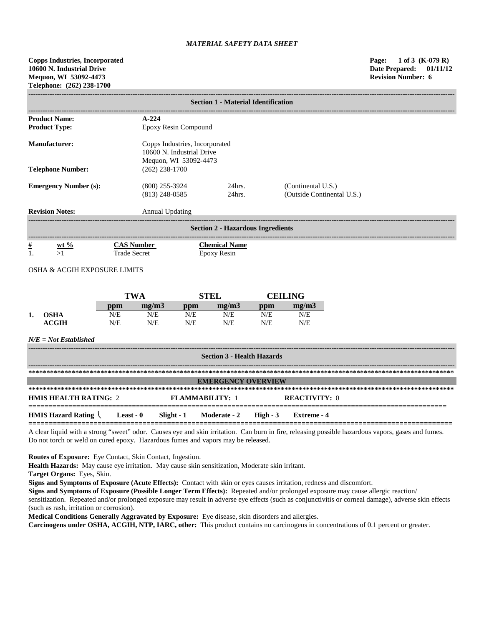|                                                                           | <b>Section 1 - Material Identification</b> |                                      |                                                                                      |                                                  |  |  |  |  |  |
|---------------------------------------------------------------------------|--------------------------------------------|--------------------------------------|--------------------------------------------------------------------------------------|--------------------------------------------------|--|--|--|--|--|
| <b>Product Name:</b><br>$A - 224$                                         |                                            |                                      |                                                                                      |                                                  |  |  |  |  |  |
| <b>Product Type:</b><br>Epoxy Resin Compound                              |                                            |                                      |                                                                                      |                                                  |  |  |  |  |  |
| Manufacturer:                                                             |                                            |                                      | Copps Industries, Incorporated<br>10600 N. Industrial Drive<br>Mequon, WI 53092-4473 |                                                  |  |  |  |  |  |
| <b>Telephone Number:</b>                                                  |                                            |                                      | $(262)$ 238-1700                                                                     |                                                  |  |  |  |  |  |
| <b>Emergency Number (s):</b>                                              |                                            | $(800)$ 255-3924<br>$(813)$ 248-0585 | $24$ hrs.<br>24hrs.                                                                  | (Continental U.S.)<br>(Outside Continental U.S.) |  |  |  |  |  |
| <b>Revision Notes:</b>                                                    |                                            | <b>Annual Updating</b>               |                                                                                      |                                                  |  |  |  |  |  |
|                                                                           | <b>Section 2 - Hazardous Ingredients</b>   |                                      |                                                                                      |                                                  |  |  |  |  |  |
| <u>#</u><br><b>CAS Number</b><br>$ext{w}t\%$<br><b>Trade Secret</b><br>>1 |                                            |                                      | <b>Chemical Name</b><br>Epoxy Resin                                                  |                                                  |  |  |  |  |  |

OSHA & ACGIH EXPOSURE LIMITS

|    |              | TWA |       | STEL |       | <b>CEILING</b> |       |
|----|--------------|-----|-------|------|-------|----------------|-------|
|    |              | ppm | me/m3 | ppm  | me/m3 | ppm            | mg/m3 |
| ı. | <b>OSHA</b>  | N/E | N/E   | N/E  | N/E   | N/E            | N/E   |
|    | <b>ACGIH</b> | N/E | N/E   | N/E  | N/E   | N/E            | N/E   |

*N/E = Not Established*

| <b>Section 3 - Health Hazards</b>                          |  |  |                                  |                      |             |  |  |
|------------------------------------------------------------|--|--|----------------------------------|----------------------|-------------|--|--|
|                                                            |  |  |                                  |                      |             |  |  |
| <b>EMERGENCY OVERVIEW</b>                                  |  |  |                                  |                      |             |  |  |
|                                                            |  |  |                                  |                      |             |  |  |
| <b>HMIS HEALTH RATING: 2</b>                               |  |  | <b>FLAMMARILITY: 1</b>           | <b>REACTIVITY:</b> 0 |             |  |  |
| <b>HMIS Hazard Rating <math>\setminus</math> Least - 0</b> |  |  | Slight - 1 Moderate - 2 High - 3 |                      | Extreme - 4 |  |  |

A clear liquid with a strong "sweet" odor. Causes eye and skin irritation. Can burn in fire, releasing possible hazardous vapors, gases and fumes. Do not torch or weld on cured epoxy. Hazardous fumes and vapors may be released.

**Routes of Exposure:** Eye Contact, Skin Contact, Ingestion.

**Health Hazards:** May cause eye irritation. May cause skin sensitization, Moderate skin irritant.

**Target Organs:** Eyes, Skin.

**Signs and Symptoms of Exposure (Acute Effects):** Contact with skin or eyes causes irritation, redness and discomfort.

**Signs and Symptoms of Exposure (Possible Longer Term Effects):** Repeated and/or prolonged exposure may cause allergic reaction/

sensitization. Repeated and/or prolonged exposure may result in adverse eye effects (such as conjunctivitis or corneal damage), adverse skin effects (such as rash, irritation or corrosion).

**Medical Conditions Generally Aggravated by Exposure:** Eye disease, skin disorders and allergies.

**Carcinogens under OSHA, ACGIH, NTP, IARC, other:** This product contains no carcinogens in concentrations of 0.1 percent or greater.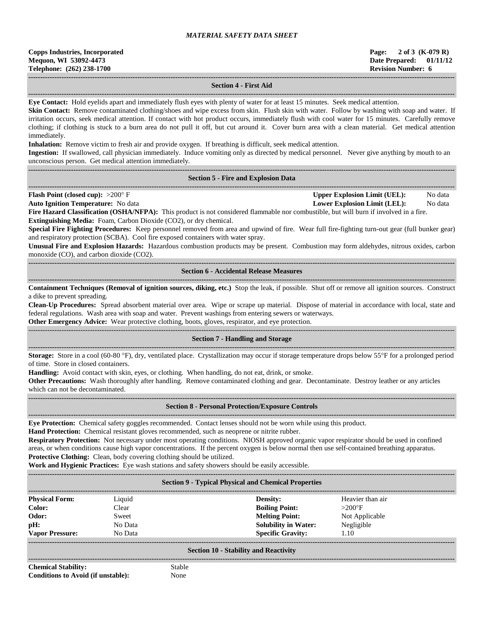| <b>Copps Industries, Incorporated</b> |
|---------------------------------------|
| Mequon, WI 53092-4473                 |
| Telephone: (262) 238-1700             |

## **------------------------------------------------------------------------------------------------------------------------------------------------------------------------------------ Section 4 - First Aid**

**------------------------------------------------------------------------------------------------------------------------------------------------------------------------------------ Eye Contact:** Hold eyelids apart and immediately flush eyes with plenty of water for at least 15 minutes. Seek medical attention.

**Skin Contact:** Remove contaminated clothing/shoes and wipe excess from skin. Flush skin with water. Follow by washing with soap and water. If irritation occurs, seek medical attention. If contact with hot product occurs, immediately flush with cool water for 15 minutes. Carefully remove clothing; if clothing is stuck to a burn area do not pull it off, but cut around it. Cover burn area with a clean material. Get medical attention immediately.

**Inhalation:** Remove victim to fresh air and provide oxygen. If breathing is difficult, seek medical attention.

**Ingestion:** If swallowed, call physician immediately. Induce vomiting only as directed by medical personnel. Never give anything by mouth to an unconscious person. Get medical attention immediately.

#### **------------------------------------------------------------------------------------------------------------------------------------------------------------------------------------ Section 5 - Fire and Explosion Data**

| <b>Flash Point (closed cup):</b> $>200^{\circ}$ F | Upper Explosion Limit (UEL):                                                                                                                  | No data |
|---------------------------------------------------|-----------------------------------------------------------------------------------------------------------------------------------------------|---------|
| <b>Auto Ignition Temperature:</b> No data         | Lower Explosion Limit (LEL):                                                                                                                  | No data |
|                                                   | <b>Fire Hazard Classification (OSHA/NFPA):</b> This product is not considered flammable nor combustible, but will burn if involved in a fire. |         |

**Extinguishing Media:** Foam, Carbon Dioxide (CO2), or dry chemical.

**Special Fire Fighting Procedures:** Keep personnel removed from area and upwind of fire. Wear full fire-fighting turn-out gear (full bunker gear) and respiratory protection (SCBA). Cool fire exposed containers with water spray.

**Unusual Fire and Explosion Hazards:** Hazardous combustion products may be present. Combustion may form aldehydes, nitrous oxides, carbon monoxide (CO), and carbon dioxide (CO2).

**------------------------------------------------------------------------------------------------------------------------------------------------------------------------------------ Section 6 - Accidental Release Measures**

**------------------------------------------------------------------------------------------------------------------------------------------------------------------------------------ Containment Techniques (Removal of ignition sources, diking, etc.)** Stop the leak, if possible. Shut off or remove all ignition sources. Construct a dike to prevent spreading.

**Clean-Up Procedures:** Spread absorbent material over area. Wipe or scrape up material. Dispose of material in accordance with local, state and federal regulations. Wash area with soap and water. Prevent washings from entering sewers or waterways.

**Other Emergency Advice:** Wear protective clothing, boots, gloves, respirator, and eye protection.

## ------------------------------------------------------------------------------------------------------------------------------------------------------------------------------------ **Section 7 - Handling and Storage**

**------------------------------------------------------------------------------------------------------------------------------------------------------------------------------------ Storage:** Store in a cool (60-80 °F), dry, ventilated place. Crystallization may occur if storage temperature drops below 55°F for a prolonged period of time. Store in closed containers.

**Handling:** Avoid contact with skin, eyes, or clothing. When handling, do not eat, drink, or smoke.

**Other Precautions:** Wash thoroughly after handling. Remove contaminated clothing and gear. Decontaminate. Destroy leather or any articles which can not be decontaminated.

**------------------------------------------------------------------------------------------------------------------------------------------------------------------------------------**

#### **------------------------------------------------------------------------------------------------------------------------------------------------------------------------------------ Section 8 - Personal Protection/Exposure Controls**

**Eye Protection:** Chemical safety goggles recommended. Contact lenses should not be worn while using this product.

**Hand Protection:** Chemical resistant gloves recommended, such as neoprene or nitrite rubber.

**Respiratory Protection:** Not necessary under most operating conditions. NIOSH approved organic vapor respirator should be used in confined areas, or when conditions cause high vapor concentrations. If the percent oxygen is below normal then use self-contained breathing apparatus. **Protective Clothing:** Clean, body covering clothing should be utilized.

**Work and Hygienic Practices:** Eye wash stations and safety showers should be easily accessible.

**------------------------------------------------------------------------------------------------------------------------------------------------------------------------------------**

## **Section 9 - Typical Physical and Chemical Properties**

| <b>Physical Form:</b>  | Liquid  | Density:                    | Heavier than air |
|------------------------|---------|-----------------------------|------------------|
| Color:                 | Clear   | <b>Boiling Point:</b>       | $>200^\circ F$   |
| Odor:                  | Sweet   | <b>Melting Point:</b>       | Not Applicable   |
| pH:                    | No Data | <b>Solubility in Water:</b> | Negligible       |
| <b>Vapor Pressure:</b> | No Data | <b>Specific Gravity:</b>    | 1.10             |
|                        |         |                             |                  |

## **Section 10 - Stability and Reactivity ------------------------------------------------------------------------------------------------------------------------------------------------------------------------------------**

**Chemical Stability:** Stable **Conditions to Avoid (if unstable):** None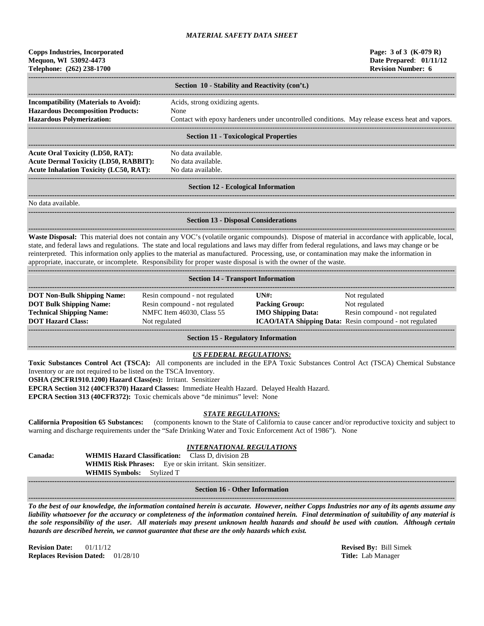| <b>Copps Industries, Incorporated</b><br>Mequon, WI 53092-4473<br>Telephone: (262) 238-1700                                              |                                                                                                                                                                                                                                                                                                                                                                                                                     | Page: 3 of 3 (K-079 R)<br>Date Prepared: 01/11/12<br><b>Revision Number: 6</b>                                                                   |
|------------------------------------------------------------------------------------------------------------------------------------------|---------------------------------------------------------------------------------------------------------------------------------------------------------------------------------------------------------------------------------------------------------------------------------------------------------------------------------------------------------------------------------------------------------------------|--------------------------------------------------------------------------------------------------------------------------------------------------|
|                                                                                                                                          | Section 10 - Stability and Reactivity (con't.)                                                                                                                                                                                                                                                                                                                                                                      |                                                                                                                                                  |
| <b>Incompatibility (Materials to Avoid):</b><br><b>Hazardous Decomposition Products:</b><br><b>Hazardous Polymerization:</b>             | Acids, strong oxidizing agents.<br>None                                                                                                                                                                                                                                                                                                                                                                             | Contact with epoxy hardeners under uncontrolled conditions. May release excess heat and vapors.                                                  |
|                                                                                                                                          | <b>Section 11 - Toxicological Properties</b>                                                                                                                                                                                                                                                                                                                                                                        |                                                                                                                                                  |
| <b>Acute Oral Toxicity (LD50, RAT):</b><br><b>Acute Dermal Toxicity (LD50, RABBIT):</b><br><b>Acute Inhalation Toxicity (LC50, RAT):</b> | No data available.<br>No data available.<br>No data available.                                                                                                                                                                                                                                                                                                                                                      |                                                                                                                                                  |
|                                                                                                                                          | <b>Section 12 - Ecological Information</b>                                                                                                                                                                                                                                                                                                                                                                          |                                                                                                                                                  |
| No data available.                                                                                                                       |                                                                                                                                                                                                                                                                                                                                                                                                                     |                                                                                                                                                  |
|                                                                                                                                          | <b>Section 13 - Disposal Considerations</b>                                                                                                                                                                                                                                                                                                                                                                         |                                                                                                                                                  |
|                                                                                                                                          | state, and federal laws and regulations. The state and local regulations and laws may differ from federal regulations, and laws may change or be<br>reinterpreted. This information only applies to the material as manufactured. Processing, use, or contamination may make the information in<br>appropriate, inaccurate, or incomplete. Responsibility for proper waste disposal is with the owner of the waste. | Waste Disposal: This material does not contain any VOC's (volatile organic compounds). Dispose of material in accordance with applicable, local, |
|                                                                                                                                          | <b>Section 14 - Transport Information</b>                                                                                                                                                                                                                                                                                                                                                                           |                                                                                                                                                  |

| <b>DOT Non-Bulk Shipping Name:</b> | Resin compound - not regulated | UNH:                      | Not regulated                                                  |
|------------------------------------|--------------------------------|---------------------------|----------------------------------------------------------------|
| <b>DOT Bulk Shipping Name:</b>     | Resin compound - not regulated | <b>Packing Group:</b>     | Not regulated                                                  |
| <b>Technical Shipping Name:</b>    | NMFC Item 46030, Class 55      | <b>IMO Shipping Data:</b> | Resin compound - not regulated                                 |
| <b>DOT Hazard Class:</b>           | Not regulated                  |                           | <b>ICAO/IATA Shipping Data:</b> Resin compound - not regulated |
|                                    |                                |                           |                                                                |
|                                    |                                |                           |                                                                |

**Section 15 - Regulatory Information**

## *US FEDERAL REGULATIONS:*

**------------------------------------------------------------------------------------------------------------------------------------------------------------------------------------**

**Toxic Substances Control Act (TSCA):** All components are included in the EPA Toxic Substances Control Act (TSCA) Chemical Substance Inventory or are not required to be listed on the TSCA Inventory.

**OSHA (29CFR1910.1200) Hazard Class(es):** Irritant. Sensitizer

**EPCRA Section 312 (40CFR370) Hazard Classes:** Immediate Health Hazard. Delayed Health Hazard.

**EPCRA Section 313 (40CFR372):** Toxic chemicals above "de minimus" level: None

## *STATE REGULATIONS:*

**California Proposition 65 Substances:** (components known to the State of California to cause cancer and/or reproductive toxicity and subject to warning and discharge requirements under the "Safe Drinking Water and Toxic Enforcement Act of 1986"). None

# *INTERNATIONAL REGULATIONS*

**Canada: WHMIS Hazard Classification: WHMIS Risk Phrases:** Eye or skin irritant. Skin sensitizer. **WHMIS Symbols:** Stylized T

#### **------------------------------------------------------------------------------------------------------------------------------------------------------------------------------------ Section 16 - Other Information ------------------------------------------------------------------------------------------------------------------------------------------------------------------------------------**

*To the best of our knowledge, the information contained herein is accurate. However, neither Copps Industries nor any of its agents assume any liability whatsoever for the accuracy or completeness of the information contained herein. Final determination of suitability of any material is the sole responsibility of the user. All materials may present unknown health hazards and should be used with caution. Although certain hazards are described herein, we cannot guarantee that these are the only hazards which exist.*

**Revision Date:** 01/11/12 **Revised By:** Bill Simek **Replaces Revision Dated:** 01/28/10 **Title:** Lab Manager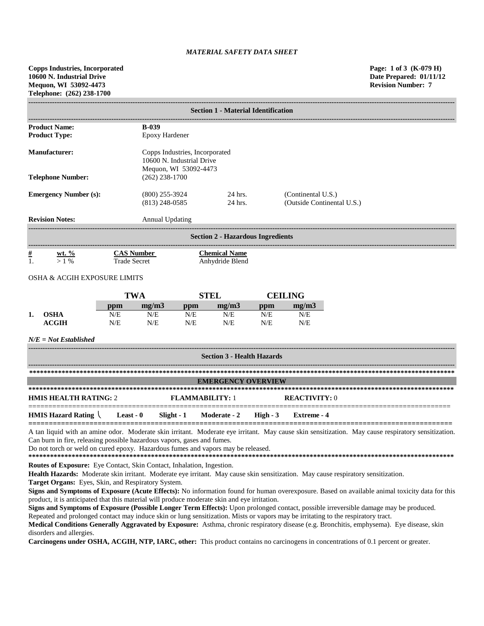**Copps Industries, Incorporated Page: 1 of 3 (K-079 H) 10600 N. Industrial Drive Date Prepared: 01/11/12 Mequon, WI 53092-4473 Revision Number: 7 Telephone: (262) 238-1700**

|                                                                                                              | <b>Section 1 - Material Identification</b> |                                      |            |                                          |            |                    |                            |  |
|--------------------------------------------------------------------------------------------------------------|--------------------------------------------|--------------------------------------|------------|------------------------------------------|------------|--------------------|----------------------------|--|
|                                                                                                              |                                            |                                      |            |                                          |            |                    |                            |  |
| <b>Product Name:</b>                                                                                         |                                            | <b>B-039</b>                         |            |                                          |            |                    |                            |  |
| <b>Product Type:</b>                                                                                         |                                            | Epoxy Hardener                       |            |                                          |            |                    |                            |  |
| <b>Manufacturer:</b><br>Copps Industries, Incorporated<br>10600 N. Industrial Drive<br>Mequon, WI 53092-4473 |                                            |                                      |            |                                          |            |                    |                            |  |
| <b>Telephone Number:</b>                                                                                     |                                            | $(262)$ 238-1700                     |            |                                          |            |                    |                            |  |
| <b>Emergency Number (s):</b>                                                                                 |                                            | $(800)$ 255-3924<br>$(813)$ 248-0585 |            | 24 hrs.<br>24 hrs.                       |            | (Continental U.S.) | (Outside Continental U.S.) |  |
| <b>Revision Notes:</b>                                                                                       |                                            | <b>Annual Updating</b>               |            |                                          |            |                    |                            |  |
|                                                                                                              |                                            |                                      |            | <b>Section 2 - Hazardous Ingredients</b> |            |                    |                            |  |
| $\underline{\#}$<br>wt. $\%$<br>1.<br>>1%                                                                    | <b>Trade Secret</b>                        | <b>CAS Number</b>                    |            | <b>Chemical Name</b><br>Anhydride Blend  |            |                    |                            |  |
| <b>OSHA &amp; ACGIH EXPOSURE LIMITS</b>                                                                      |                                            |                                      |            |                                          |            |                    |                            |  |
|                                                                                                              |                                            | <b>TWA</b>                           |            | <b>STEL</b>                              |            | <b>CEILING</b>     |                            |  |
| <b>OSHA</b>                                                                                                  | ppm                                        | mg/m3<br>N/E                         | ppm<br>N/E | mg/m3<br>N/E                             | ppm        | mg/m3              |                            |  |
| 1.<br><b>ACGIH</b>                                                                                           | N/E<br>N/E                                 | N/E                                  | N/E        | N/E                                      | N/E<br>N/E | N/E<br>N/E         |                            |  |
| $N/E = Not$ Established                                                                                      |                                            |                                      |            |                                          |            |                    |                            |  |
|                                                                                                              | <b>Section 3 - Health Hazards</b>          |                                      |            |                                          |            |                    |                            |  |
|                                                                                                              |                                            |                                      |            |                                          |            |                    |                            |  |
|                                                                                                              |                                            |                                      |            | <b>EMERGENCY OVERVIEW</b>                |            |                    |                            |  |
|                                                                                                              |                                            |                                      |            |                                          |            |                    |                            |  |

| <b>HMIS HEALTH RATING: 2</b>                                                |  | FLAMMARILITY: 1 |  | <b>REACTIVITY:</b> 0 |  |  |
|-----------------------------------------------------------------------------|--|-----------------|--|----------------------|--|--|
| HMIS Hazard Rating \ Least - 0 Slight - 1 Moderate - 2 High - 3 Extreme - 4 |  |                 |  |                      |  |  |

A tan liquid with an amine odor. Moderate skin irritant. Moderate eye irritant. May cause skin sensitization. May cause respiratory sensitization. Can burn in fire, releasing possible hazardous vapors, gases and fumes.

Do not torch or weld on cured epoxy. Hazardous fumes and vapors may be released.

**\*\*\*\*\*\*\*\*\*\*\*\*\*\*\*\*\*\*\*\*\*\*\*\*\*\*\*\*\*\*\*\*\*\*\*\*\*\*\*\*\*\*\*\*\*\*\*\*\*\*\*\*\*\*\*\*\*\*\*\*\*\*\*\*\*\*\*\*\*\*\*\*\*\*\*\*\*\*\*\*\*\*\*\*\*\*\*\*\*\*\*\*\*\*\*\*\*\*\*\*\*\*\*\*\*\*\*\*\*\*\*\*\*\*\*\*\*\***

**Routes of Exposure:** Eye Contact, Skin Contact, Inhalation, Ingestion.

**Health Hazards:** Moderate skin irritant. Moderate eye irritant. May cause skin sensitization. May cause respiratory sensitization.

**Target Organs:** Eyes, Skin, and Respiratory System.

**Signs and Symptoms of Exposure (Acute Effects):** No information found for human overexposure. Based on available animal toxicity data for this product, it is anticipated that this material will produce moderate skin and eye irritation.

**Signs and Symptoms of Exposure (Possible Longer Term Effects):** Upon prolonged contact, possible irreversible damage may be produced. Repeated and prolonged contact may induce skin or lung sensitization. Mists or vapors may be irritating to the respiratory tract.

**Medical Conditions Generally Aggravated by Exposure:** Asthma, chronic respiratory disease (e.g. Bronchitis, emphysema). Eye disease, skin disorders and allergies.

**Carcinogens under OSHA, ACGIH, NTP, IARC, other:** This product contains no carcinogens in concentrations of 0.1 percent or greater.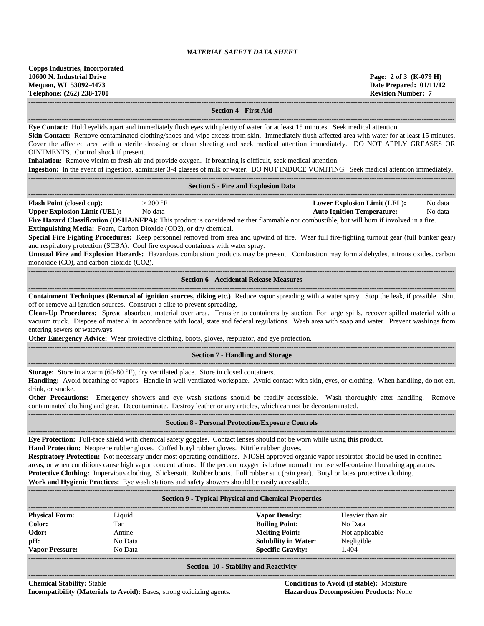**Copps Industries, Incorporated 10600 N. Industrial Drive Page: 2 of 3 (K-079 H) Mequon, WI 53092-4473 Date Prepared: 01/11/12 Telephone: (262) 238-1700 Revision Number: 7 ------------------------------------------------------------------------------------------------------------------------------------------------------------------------------------**

 $-1\leq i\leq n-1\leq n-1\leq n-1\leq n-1\leq n-1\leq n-1\leq n-1\leq n-1\leq n-1\leq n-1\leq n-1\leq n-1\leq n-1\leq n-1\leq n-1\leq n-1\leq n-1\leq n-1\leq n-1\leq n-1\leq n-1\leq n-1\leq n-1\leq n-1\leq n-1\leq n-1\leq n-1\leq n-1\leq n-1\leq n-1\leq n-1\leq n-1\leq n-1\leq n-1\leq n-1\leq n$ 

## **Section 4 - First Aid**

**------------------------------------------------------------------------------------------------------------------------------------------------------------------------------------**

**Eye Contact:** Hold eyelids apart and immediately flush eyes with plenty of water for at least 15 minutes. Seek medical attention.

**Skin Contact:** Remove contaminated clothing/shoes and wipe excess from skin. Immediately flush affected area with water for at least 15 minutes. Cover the affected area with a sterile dressing or clean sheeting and seek medical attention immediately. DO NOT APPLY GREASES OR OINTMENTS. Control shock if present.

**Inhalation:** Remove victim to fresh air and provide oxygen. If breathing is difficult, seek medical attention.

**Ingestion:** In the event of ingestion, administer 3-4 glasses of milk or water. DO NOT INDUCE VOMITING. Seek medical attention immediately. **------------------------------------------------------------------------------------------------------------------------------------------------------------------------------------**

#### **Section 5 - Fire and Explosion Data**

**------------------------------------------------------------------------------------------------------------------------------------------------------------------------------------ Flash Point (closed cup):**  $> 200 \text{ °F}$  **Lower Explosion Limit (LEL):** No data **Upper Explosion Limit (UEL):** No data **Auto Ignition Temperature:** No data

**Fire Hazard Classification (OSHA/NFPA):** This product is considered neither flammable nor combustible, but will burn if involved in a fire. **Extinguishing Media:** Foam, Carbon Dioxide (CO2), or dry chemical.

**Special Fire Fighting Procedures:** Keep personnel removed from area and upwind of fire. Wear full fire-fighting turnout gear (full bunker gear) and respiratory protection (SCBA). Cool fire exposed containers with water spray.

**Unusual Fire and Explosion Hazards:** Hazardous combustion products may be present. Combustion may form aldehydes, nitrous oxides, carbon monoxide (CO), and carbon dioxide (CO2).

## **Section 6 - Accidental Release Measures**

**------------------------------------------------------------------------------------------------------------------------------------------------------------------------------------ Containment Techniques (Removal of ignition sources, diking etc.)** Reduce vapor spreading with a water spray. Stop the leak, if possible. Shut off or remove all ignition sources. Construct a dike to prevent spreading.

**Clean-Up Procedures:** Spread absorbent material over area. Transfer to containers by suction. For large spills, recover spilled material with a vacuum truck. Dispose of material in accordance with local, state and federal regulations. Wash area with soap and water. Prevent washings from entering sewers or waterways.

**Other Emergency Advice:** Wear protective clothing, boots, gloves, respirator, and eye protection.

#### **------------------------------------------------------------------------------------------------------------------------------------------------------------------------------------ Section 7 - Handling and Storage**

**------------------------------------------------------------------------------------------------------------------------------------------------------------------------------------**

**Storage:** Store in a warm (60-80 °F), dry ventilated place. Store in closed containers.

**Handling:** Avoid breathing of vapors. Handle in well-ventilated workspace. Avoid contact with skin, eyes, or clothing. When handling, do not eat, drink, or smoke.

**Other Precautions:** Emergency showers and eye wash stations should be readily accessible. Wash thoroughly after handling. Remove contaminated clothing and gear. Decontaminate. Destroy leather or any articles, which can not be decontaminated. **------------------------------------------------------------------------------------------------------------------------------------------------------------------------------------**

## **Section 8 - Personal Protection/Exposure Controls**

**------------------------------------------------------------------------------------------------------------------------------------------------------------------------------------**

**Eye Protection:** Full-face shield with chemical safety goggles. Contact lenses should not be worn while using this product.

**Hand Protection:** Neoprene rubber gloves. Cuffed butyl rubber gloves. Nitrile rubber gloves.

**Respiratory Protection:** Not necessary under most operating conditions. NIOSH approved organic vapor respirator should be used in confined areas, or when conditions cause high vapor concentrations. If the percent oxygen is below normal then use self-contained breathing apparatus. **Protective Clothing:** Impervious clothing. Slickersuit. Rubber boots. Full rubber suit (rain gear). Butyl or latex protective clothing.

**Work and Hygienic Practices:** Eye wash stations and safety showers should be easily accessible.

**------------------------------------------------------------------------------------------------------------------------------------------------------------------------------------**

| <b>Section 9 - Typical Physical and Chemical Properties</b> |         |                             |                  |  |  |  |
|-------------------------------------------------------------|---------|-----------------------------|------------------|--|--|--|
| <b>Physical Form:</b>                                       | Liquid  | <b>Vapor Density:</b>       | Heavier than air |  |  |  |
| Color:                                                      | Tan     | <b>Boiling Point:</b>       | No Data          |  |  |  |
| Odor:                                                       | Amine   | <b>Melting Point:</b>       | Not applicable   |  |  |  |
| pH:                                                         | No Data | <b>Solubility in Water:</b> | Negligible       |  |  |  |
| <b>Vapor Pressure:</b>                                      | No Data | <b>Specific Gravity:</b>    | 1.404            |  |  |  |
|                                                             |         |                             |                  |  |  |  |

**Section 10 - Stability and Reactivity ------------------------------------------------------------------------------------------------------------------------------------------------------------------------------------**

**Chemical Stability:** Stable **Conditions to Avoid (if stable):** Moisture **Incompatibility (Materials to Avoid):** Bases, strong oxidizing agents. **Hazardous Decomposition Products:** None